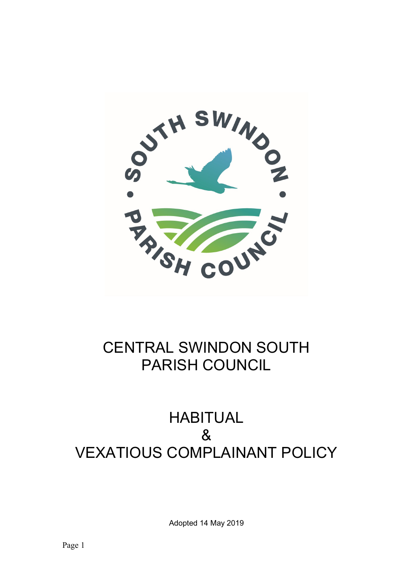

## CENTRAL SWINDON SOUTH PARISH COUNCIL

## HABITUAL & VEXATIOUS COMPLAINANT POLICY

Adopted 14 May 2019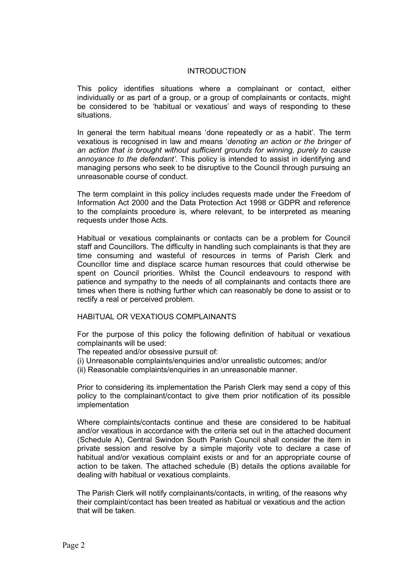## **INTRODUCTION**

This policy identifies situations where a complainant or contact, either individually or as part of a group, or a group of complainants or contacts, might be considered to be 'habitual or vexatious' and ways of responding to these situations.

In general the term habitual means 'done repeatedly or as a habit'. The term vexatious is recognised in law and means 'denoting an action or the bringer of an action that is brought without sufficient grounds for winning, purely to cause annoyance to the defendant'. This policy is intended to assist in identifying and managing persons who seek to be disruptive to the Council through pursuing an unreasonable course of conduct.

The term complaint in this policy includes requests made under the Freedom of Information Act 2000 and the Data Protection Act 1998 or GDPR and reference to the complaints procedure is, where relevant, to be interpreted as meaning requests under those Acts.

 Habitual or vexatious complainants or contacts can be a problem for Council staff and Councillors. The difficulty in handling such complainants is that they are time consuming and wasteful of resources in terms of Parish Clerk and Councillor time and displace scarce human resources that could otherwise be spent on Council priorities. Whilst the Council endeavours to respond with patience and sympathy to the needs of all complainants and contacts there are times when there is nothing further which can reasonably be done to assist or to rectify a real or perceived problem.

HABITUAL OR VEXATIOUS COMPLAINANTS

 For the purpose of this policy the following definition of habitual or vexatious complainants will be used:

The repeated and/or obsessive pursuit of:

(i) Unreasonable complaints/enquiries and/or unrealistic outcomes; and/or

(ii) Reasonable complaints/enquiries in an unreasonable manner.

 Prior to considering its implementation the Parish Clerk may send a copy of this policy to the complainant/contact to give them prior notification of its possible implementation

 Where complaints/contacts continue and these are considered to be habitual and/or vexatious in accordance with the criteria set out in the attached document (Schedule A), Central Swindon South Parish Council shall consider the item in private session and resolve by a simple majority vote to declare a case of habitual and/or vexatious complaint exists or and for an appropriate course of action to be taken. The attached schedule (B) details the options available for dealing with habitual or vexatious complaints.

The Parish Clerk will notify complainants/contacts, in writing, of the reasons why their complaint/contact has been treated as habitual or vexatious and the action that will be taken.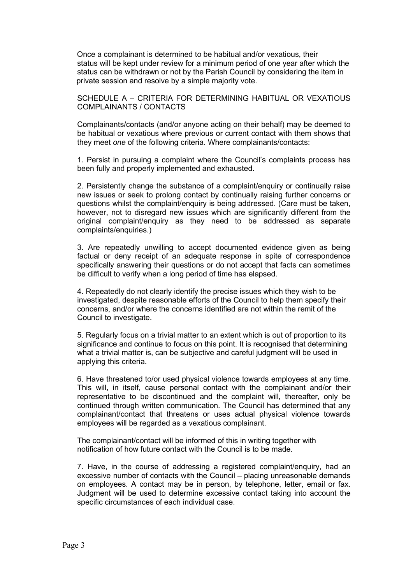Once a complainant is determined to be habitual and/or vexatious, their status will be kept under review for a minimum period of one year after which the status can be withdrawn or not by the Parish Council by considering the item in private session and resolve by a simple majority vote.

SCHEDULE A – CRITERIA FOR DETERMINING HABITUAL OR VEXATIOUS COMPLAINANTS / CONTACTS

Complainants/contacts (and/or anyone acting on their behalf) may be deemed to be habitual or vexatious where previous or current contact with them shows that they meet one of the following criteria. Where complainants/contacts:

1. Persist in pursuing a complaint where the Council's complaints process has been fully and properly implemented and exhausted.

2. Persistently change the substance of a complaint/enquiry or continually raise new issues or seek to prolong contact by continually raising further concerns or questions whilst the complaint/enquiry is being addressed. (Care must be taken, however, not to disregard new issues which are significantly different from the original complaint/enquiry as they need to be addressed as separate complaints/enquiries.)

3. Are repeatedly unwilling to accept documented evidence given as being factual or deny receipt of an adequate response in spite of correspondence specifically answering their questions or do not accept that facts can sometimes be difficult to verify when a long period of time has elapsed.

4. Repeatedly do not clearly identify the precise issues which they wish to be investigated, despite reasonable efforts of the Council to help them specify their concerns, and/or where the concerns identified are not within the remit of the Council to investigate.

5. Regularly focus on a trivial matter to an extent which is out of proportion to its significance and continue to focus on this point. It is recognised that determining what a trivial matter is, can be subjective and careful judgment will be used in applying this criteria.

6. Have threatened to/or used physical violence towards employees at any time. This will, in itself, cause personal contact with the complainant and/or their representative to be discontinued and the complaint will, thereafter, only be continued through written communication. The Council has determined that any complainant/contact that threatens or uses actual physical violence towards employees will be regarded as a vexatious complainant.

The complainant/contact will be informed of this in writing together with notification of how future contact with the Council is to be made.

7. Have, in the course of addressing a registered complaint/enquiry, had an excessive number of contacts with the Council – placing unreasonable demands on employees. A contact may be in person, by telephone, letter, email or fax. Judgment will be used to determine excessive contact taking into account the specific circumstances of each individual case.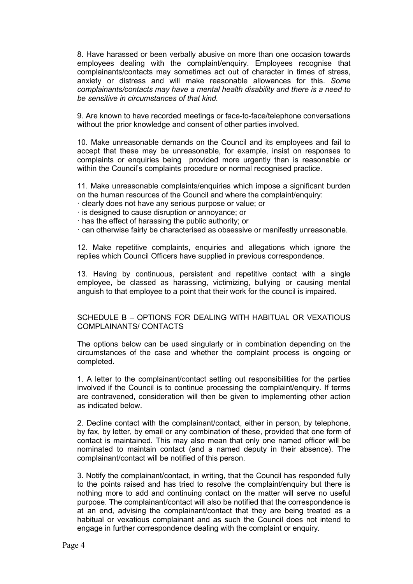8. Have harassed or been verbally abusive on more than one occasion towards employees dealing with the complaint/enquiry. Employees recognise that complainants/contacts may sometimes act out of character in times of stress, anxiety or distress and will make reasonable allowances for this. Some complainants/contacts may have a mental health disability and there is a need to be sensitive in circumstances of that kind.

9. Are known to have recorded meetings or face-to-face/telephone conversations without the prior knowledge and consent of other parties involved.

10. Make unreasonable demands on the Council and its employees and fail to accept that these may be unreasonable, for example, insist on responses to complaints or enquiries being provided more urgently than is reasonable or within the Council's complaints procedure or normal recognised practice.

11. Make unreasonable complaints/enquiries which impose a significant burden on the human resources of the Council and where the complaint/enquiry:

- · clearly does not have any serious purpose or value; or
- · is designed to cause disruption or annoyance; or
- · has the effect of harassing the public authority; or

· can otherwise fairly be characterised as obsessive or manifestly unreasonable.

12. Make repetitive complaints, enquiries and allegations which ignore the replies which Council Officers have supplied in previous correspondence.

13. Having by continuous, persistent and repetitive contact with a single employee, be classed as harassing, victimizing, bullying or causing mental anguish to that employee to a point that their work for the council is impaired.

## SCHEDULE B – OPTIONS FOR DEALING WITH HABITUAL OR VEXATIOUS COMPLAINANTS/ CONTACTS

The options below can be used singularly or in combination depending on the circumstances of the case and whether the complaint process is ongoing or completed.

1. A letter to the complainant/contact setting out responsibilities for the parties involved if the Council is to continue processing the complaint/enquiry. If terms are contravened, consideration will then be given to implementing other action as indicated below.

2. Decline contact with the complainant/contact, either in person, by telephone, by fax, by letter, by email or any combination of these, provided that one form of contact is maintained. This may also mean that only one named officer will be nominated to maintain contact (and a named deputy in their absence). The complainant/contact will be notified of this person.

3. Notify the complainant/contact, in writing, that the Council has responded fully to the points raised and has tried to resolve the complaint/enquiry but there is nothing more to add and continuing contact on the matter will serve no useful purpose. The complainant/contact will also be notified that the correspondence is at an end, advising the complainant/contact that they are being treated as a habitual or vexatious complainant and as such the Council does not intend to engage in further correspondence dealing with the complaint or enquiry.